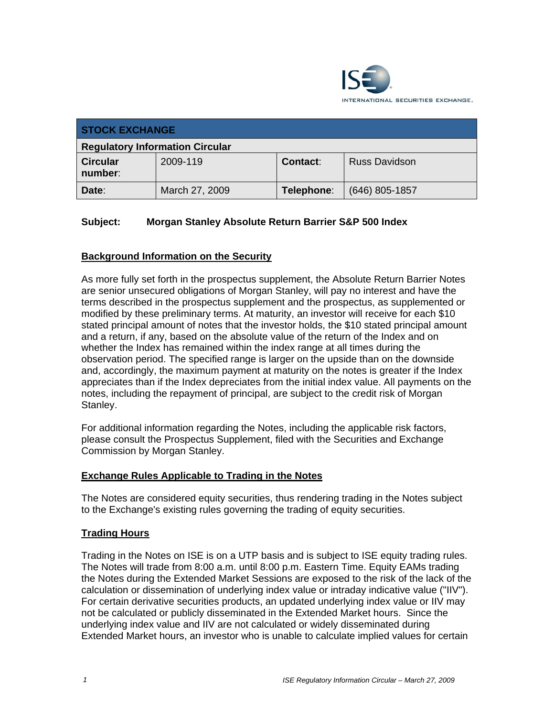

| <b>STOCK EXCHANGE</b>                  |                |            |                      |
|----------------------------------------|----------------|------------|----------------------|
| <b>Regulatory Information Circular</b> |                |            |                      |
| <b>Circular</b><br>number:             | 2009-119       | Contact:   | <b>Russ Davidson</b> |
| Date:                                  | March 27, 2009 | Telephone: | $(646)$ 805-1857     |

# **Subject: Morgan Stanley Absolute Return Barrier S&P 500 Index**

## **Background Information on the Security**

As more fully set forth in the prospectus supplement, the Absolute Return Barrier Notes are senior unsecured obligations of Morgan Stanley, will pay no interest and have the terms described in the prospectus supplement and the prospectus, as supplemented or modified by these preliminary terms. At maturity, an investor will receive for each \$10 stated principal amount of notes that the investor holds, the \$10 stated principal amount and a return, if any, based on the absolute value of the return of the Index and on whether the Index has remained within the index range at all times during the observation period. The specified range is larger on the upside than on the downside and, accordingly, the maximum payment at maturity on the notes is greater if the Index appreciates than if the Index depreciates from the initial index value. All payments on the notes, including the repayment of principal, are subject to the credit risk of Morgan Stanley.

For additional information regarding the Notes, including the applicable risk factors, please consult the Prospectus Supplement, filed with the Securities and Exchange Commission by Morgan Stanley.

#### **Exchange Rules Applicable to Trading in the Notes**

The Notes are considered equity securities, thus rendering trading in the Notes subject to the Exchange's existing rules governing the trading of equity securities.

#### **Trading Hours**

Trading in the Notes on ISE is on a UTP basis and is subject to ISE equity trading rules. The Notes will trade from 8:00 a.m. until 8:00 p.m. Eastern Time. Equity EAMs trading the Notes during the Extended Market Sessions are exposed to the risk of the lack of the calculation or dissemination of underlying index value or intraday indicative value ("IIV"). For certain derivative securities products, an updated underlying index value or IIV may not be calculated or publicly disseminated in the Extended Market hours. Since the underlying index value and IIV are not calculated or widely disseminated during Extended Market hours, an investor who is unable to calculate implied values for certain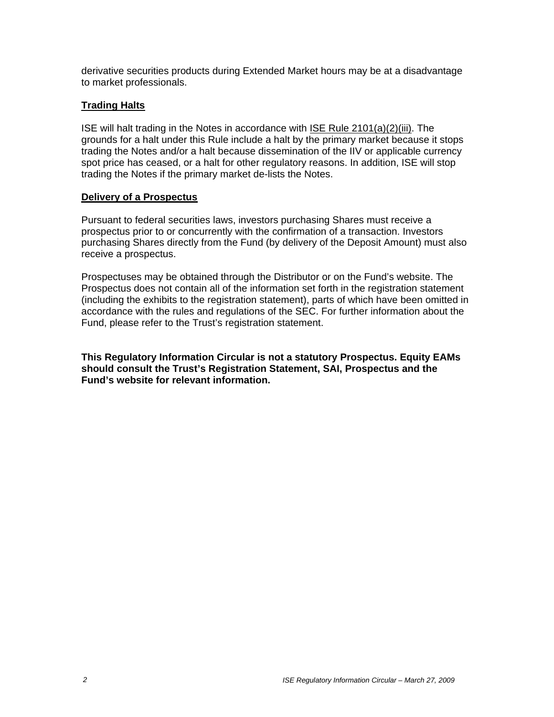derivative securities products during Extended Market hours may be at a disadvantage to market professionals.

## **Trading Halts**

ISE will halt trading in the Notes in accordance with ISE Rule 2101(a)(2)(iii). The grounds for a halt under this Rule include a halt by the primary market because it stops trading the Notes and/or a halt because dissemination of the IIV or applicable currency spot price has ceased, or a halt for other regulatory reasons. In addition, ISE will stop trading the Notes if the primary market de-lists the Notes.

#### **Delivery of a Prospectus**

Pursuant to federal securities laws, investors purchasing Shares must receive a prospectus prior to or concurrently with the confirmation of a transaction. Investors purchasing Shares directly from the Fund (by delivery of the Deposit Amount) must also receive a prospectus.

Prospectuses may be obtained through the Distributor or on the Fund's website. The Prospectus does not contain all of the information set forth in the registration statement (including the exhibits to the registration statement), parts of which have been omitted in accordance with the rules and regulations of the SEC. For further information about the Fund, please refer to the Trust's registration statement.

**This Regulatory Information Circular is not a statutory Prospectus. Equity EAMs should consult the Trust's Registration Statement, SAI, Prospectus and the Fund's website for relevant information.**